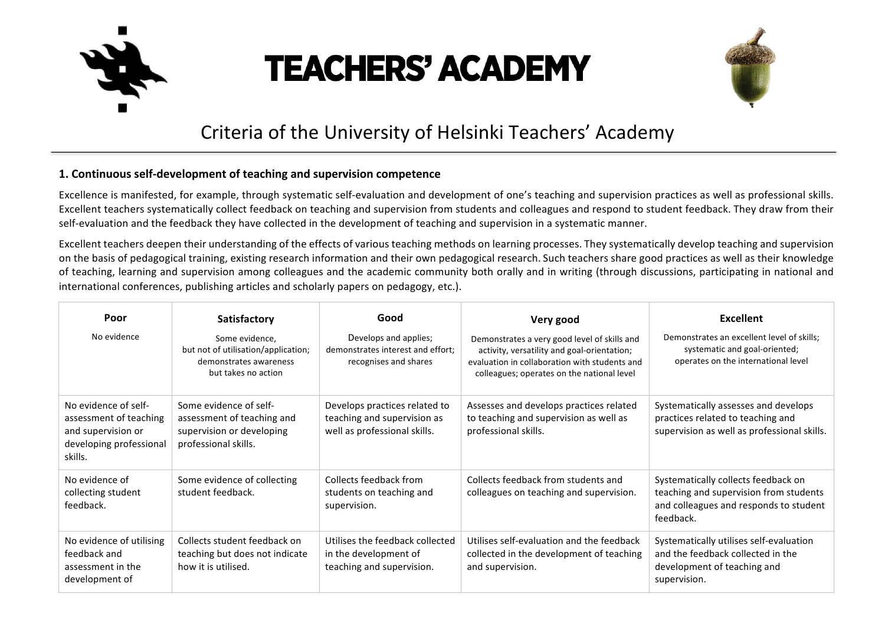

# **TEACHERS' ACADEMY**



# Criteria of the University of Helsinki Teachers' Academy

# **1. Continuous self-development of teaching and supervision competence**

Excellence is manifested, for example, through systematic self-evaluation and development of one's teaching and supervision practices as well as professional skills. Excellent teachers systematically collect feedback on teaching and supervision from students and colleagues and respond to student feedback. They draw from their self-evaluation and the feedback they have collected in the development of teaching and supervision in a systematic manner.

Excellent teachers deepen their understanding of the effects of various teaching methods on learning processes. They systematically develop teaching and supervision on the basis of pedagogical training, existing research information and their own pedagogical research. Such teachers share good practices as well as their knowledge of teaching, learning and supervision among colleagues and the academic community both orally and in writing (through discussions, participating in national and international conferences, publishing articles and scholarly papers on pedagogy, etc.).

| Poor                                                                                                       | Satisfactory                                                                                              | Good                                                                                         | Very good                                                                                                                                                                                  | <b>Excellent</b>                                                                                                                     |
|------------------------------------------------------------------------------------------------------------|-----------------------------------------------------------------------------------------------------------|----------------------------------------------------------------------------------------------|--------------------------------------------------------------------------------------------------------------------------------------------------------------------------------------------|--------------------------------------------------------------------------------------------------------------------------------------|
| No evidence                                                                                                | Some evidence,<br>but not of utilisation/application;<br>demonstrates awareness<br>but takes no action    | Develops and applies;<br>demonstrates interest and effort:<br>recognises and shares          | Demonstrates a very good level of skills and<br>activity, versatility and goal-orientation;<br>evaluation in collaboration with students and<br>colleagues; operates on the national level | Demonstrates an excellent level of skills;<br>systematic and goal-oriented;<br>operates on the international level                   |
| No evidence of self-<br>assessment of teaching<br>and supervision or<br>developing professional<br>skills. | Some evidence of self-<br>assessment of teaching and<br>supervision or developing<br>professional skills. | Develops practices related to<br>teaching and supervision as<br>well as professional skills. | Assesses and develops practices related<br>to teaching and supervision as well as<br>professional skills.                                                                                  | Systematically assesses and develops<br>practices related to teaching and<br>supervision as well as professional skills.             |
| No evidence of<br>collecting student<br>feedback.                                                          | Some evidence of collecting<br>student feedback.                                                          | Collects feedback from<br>students on teaching and<br>supervision.                           | Collects feedback from students and<br>colleagues on teaching and supervision.                                                                                                             | Systematically collects feedback on<br>teaching and supervision from students<br>and colleagues and responds to student<br>feedback. |
| No evidence of utilising<br>feedback and<br>assessment in the<br>development of                            | Collects student feedback on<br>teaching but does not indicate<br>how it is utilised.                     | Utilises the feedback collected<br>in the development of<br>teaching and supervision.        | Utilises self-evaluation and the feedback<br>collected in the development of teaching<br>and supervision.                                                                                  | Systematically utilises self-evaluation<br>and the feedback collected in the<br>development of teaching and<br>supervision.          |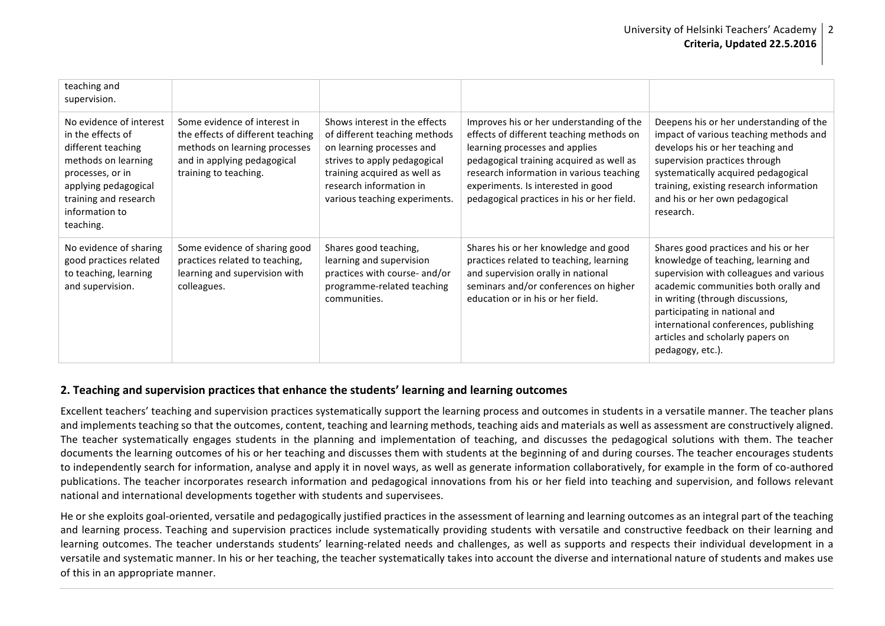| teaching and<br>supervision.                                                                                                                                                                  |                                                                                                                                                            |                                                                                                                                                                                                                         |                                                                                                                                                                                                                                                                                                    |                                                                                                                                                                                                                                                                                                                                      |
|-----------------------------------------------------------------------------------------------------------------------------------------------------------------------------------------------|------------------------------------------------------------------------------------------------------------------------------------------------------------|-------------------------------------------------------------------------------------------------------------------------------------------------------------------------------------------------------------------------|----------------------------------------------------------------------------------------------------------------------------------------------------------------------------------------------------------------------------------------------------------------------------------------------------|--------------------------------------------------------------------------------------------------------------------------------------------------------------------------------------------------------------------------------------------------------------------------------------------------------------------------------------|
| No evidence of interest<br>in the effects of<br>different teaching<br>methods on learning<br>processes, or in<br>applying pedagogical<br>training and research<br>information to<br>teaching. | Some evidence of interest in<br>the effects of different teaching<br>methods on learning processes<br>and in applying pedagogical<br>training to teaching. | Shows interest in the effects<br>of different teaching methods<br>on learning processes and<br>strives to apply pedagogical<br>training acquired as well as<br>research information in<br>various teaching experiments. | Improves his or her understanding of the<br>effects of different teaching methods on<br>learning processes and applies<br>pedagogical training acquired as well as<br>research information in various teaching<br>experiments. Is interested in good<br>pedagogical practices in his or her field. | Deepens his or her understanding of the<br>impact of various teaching methods and<br>develops his or her teaching and<br>supervision practices through<br>systematically acquired pedagogical<br>training, existing research information<br>and his or her own pedagogical<br>research.                                              |
| No evidence of sharing<br>good practices related<br>to teaching, learning<br>and supervision.                                                                                                 | Some evidence of sharing good<br>practices related to teaching,<br>learning and supervision with<br>colleagues.                                            | Shares good teaching,<br>learning and supervision<br>practices with course- and/or<br>programme-related teaching<br>communities.                                                                                        | Shares his or her knowledge and good<br>practices related to teaching, learning<br>and supervision orally in national<br>seminars and/or conferences on higher<br>education or in his or her field.                                                                                                | Shares good practices and his or her<br>knowledge of teaching, learning and<br>supervision with colleagues and various<br>academic communities both orally and<br>in writing (through discussions,<br>participating in national and<br>international conferences, publishing<br>articles and scholarly papers on<br>pedagogy, etc.). |

#### **2.** Teaching and supervision practices that enhance the students' learning and learning outcomes

Excellent teachers' teaching and supervision practices systematically support the learning process and outcomes in students in a versatile manner. The teacher plans and implements teaching so that the outcomes, content, teaching and learning methods, teaching aids and materials as well as assessment are constructively aligned. The teacher systematically engages students in the planning and implementation of teaching, and discusses the pedagogical solutions with them. The teacher documents the learning outcomes of his or her teaching and discusses them with students at the beginning of and during courses. The teacher encourages students to independently search for information, analyse and apply it in novel ways, as well as generate information collaboratively, for example in the form of co-authored publications. The teacher incorporates research information and pedagogical innovations from his or her field into teaching and supervision, and follows relevant national and international developments together with students and supervisees.

He or she exploits goal-oriented, versatile and pedagogically justified practices in the assessment of learning and learning outcomes as an integral part of the teaching and learning process. Teaching and supervision practices include systematically providing students with versatile and constructive feedback on their learning and learning outcomes. The teacher understands students' learning-related needs and challenges, as well as supports and respects their individual development in a versatile and systematic manner. In his or her teaching, the teacher systematically takes into account the diverse and international nature of students and makes use of this in an appropriate manner.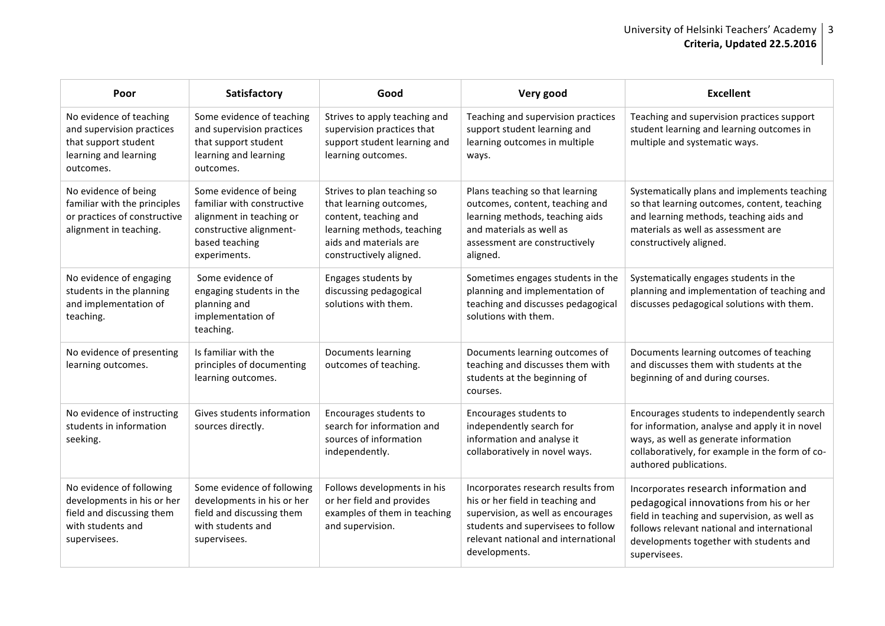### University of Helsinki Teachers' Academy | 3 **Criteria, Updated 22.5.2016**

| Poor                                                                                                                     | Satisfactory                                                                                                                                  | Good                                                                                                                                                               | Very good                                                                                                                                                                                                  | <b>Excellent</b>                                                                                                                                                                                                                            |
|--------------------------------------------------------------------------------------------------------------------------|-----------------------------------------------------------------------------------------------------------------------------------------------|--------------------------------------------------------------------------------------------------------------------------------------------------------------------|------------------------------------------------------------------------------------------------------------------------------------------------------------------------------------------------------------|---------------------------------------------------------------------------------------------------------------------------------------------------------------------------------------------------------------------------------------------|
| No evidence of teaching<br>and supervision practices<br>that support student<br>learning and learning<br>outcomes.       | Some evidence of teaching<br>and supervision practices<br>that support student<br>learning and learning<br>outcomes.                          | Strives to apply teaching and<br>supervision practices that<br>support student learning and<br>learning outcomes.                                                  | Teaching and supervision practices<br>support student learning and<br>learning outcomes in multiple<br>ways.                                                                                               | Teaching and supervision practices support<br>student learning and learning outcomes in<br>multiple and systematic ways.                                                                                                                    |
| No evidence of being<br>familiar with the principles<br>or practices of constructive<br>alignment in teaching.           | Some evidence of being<br>familiar with constructive<br>alignment in teaching or<br>constructive alignment-<br>based teaching<br>experiments. | Strives to plan teaching so<br>that learning outcomes,<br>content, teaching and<br>learning methods, teaching<br>aids and materials are<br>constructively aligned. | Plans teaching so that learning<br>outcomes, content, teaching and<br>learning methods, teaching aids<br>and materials as well as<br>assessment are constructively<br>aligned.                             | Systematically plans and implements teaching<br>so that learning outcomes, content, teaching<br>and learning methods, teaching aids and<br>materials as well as assessment are<br>constructively aligned.                                   |
| No evidence of engaging<br>students in the planning<br>and implementation of<br>teaching.                                | Some evidence of<br>engaging students in the<br>planning and<br>implementation of<br>teaching.                                                | Engages students by<br>discussing pedagogical<br>solutions with them.                                                                                              | Sometimes engages students in the<br>planning and implementation of<br>teaching and discusses pedagogical<br>solutions with them.                                                                          | Systematically engages students in the<br>planning and implementation of teaching and<br>discusses pedagogical solutions with them.                                                                                                         |
| No evidence of presenting<br>learning outcomes.                                                                          | Is familiar with the<br>principles of documenting<br>learning outcomes.                                                                       | Documents learning<br>outcomes of teaching.                                                                                                                        | Documents learning outcomes of<br>teaching and discusses them with<br>students at the beginning of<br>courses.                                                                                             | Documents learning outcomes of teaching<br>and discusses them with students at the<br>beginning of and during courses.                                                                                                                      |
| No evidence of instructing<br>students in information<br>seeking.                                                        | Gives students information<br>sources directly.                                                                                               | Encourages students to<br>search for information and<br>sources of information<br>independently.                                                                   | Encourages students to<br>independently search for<br>information and analyse it<br>collaboratively in novel ways.                                                                                         | Encourages students to independently search<br>for information, analyse and apply it in novel<br>ways, as well as generate information<br>collaboratively, for example in the form of co-<br>authored publications.                         |
| No evidence of following<br>developments in his or her<br>field and discussing them<br>with students and<br>supervisees. | Some evidence of following<br>developments in his or her<br>field and discussing them<br>with students and<br>supervisees.                    | Follows developments in his<br>or her field and provides<br>examples of them in teaching<br>and supervision.                                                       | Incorporates research results from<br>his or her field in teaching and<br>supervision, as well as encourages<br>students and supervisees to follow<br>relevant national and international<br>developments. | Incorporates research information and<br>pedagogical innovations from his or her<br>field in teaching and supervision, as well as<br>follows relevant national and international<br>developments together with students and<br>supervisees. |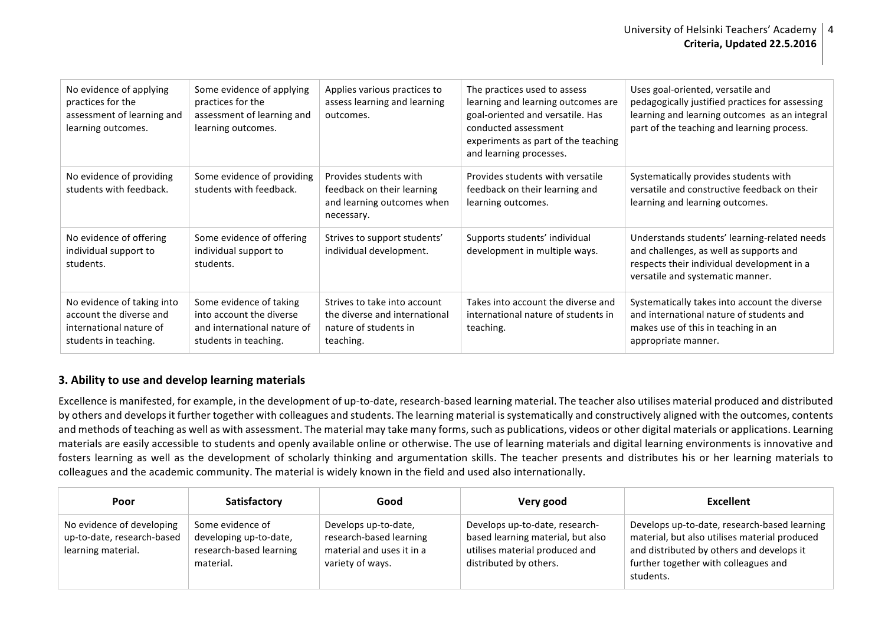| No evidence of applying<br>practices for the<br>assessment of learning and<br>learning outcomes.          | Some evidence of applying<br>practices for the<br>assessment of learning and<br>learning outcomes.          | Applies various practices to<br>assess learning and learning<br>outcomes.                           | The practices used to assess<br>learning and learning outcomes are<br>goal-oriented and versatile. Has<br>conducted assessment<br>experiments as part of the teaching<br>and learning processes. | Uses goal-oriented, versatile and<br>pedagogically justified practices for assessing<br>learning and learning outcomes as an integral<br>part of the teaching and learning process. |
|-----------------------------------------------------------------------------------------------------------|-------------------------------------------------------------------------------------------------------------|-----------------------------------------------------------------------------------------------------|--------------------------------------------------------------------------------------------------------------------------------------------------------------------------------------------------|-------------------------------------------------------------------------------------------------------------------------------------------------------------------------------------|
| No evidence of providing<br>students with feedback.                                                       | Some evidence of providing<br>students with feedback.                                                       | Provides students with<br>feedback on their learning<br>and learning outcomes when<br>necessary.    | Provides students with versatile<br>feedback on their learning and<br>learning outcomes.                                                                                                         | Systematically provides students with<br>versatile and constructive feedback on their<br>learning and learning outcomes.                                                            |
| No evidence of offering<br>individual support to<br>students.                                             | Some evidence of offering<br>individual support to<br>students.                                             | Strives to support students'<br>individual development.                                             | Supports students' individual<br>development in multiple ways.                                                                                                                                   | Understands students' learning-related needs<br>and challenges, as well as supports and<br>respects their individual development in a<br>versatile and systematic manner.           |
| No evidence of taking into<br>account the diverse and<br>international nature of<br>students in teaching. | Some evidence of taking<br>into account the diverse<br>and international nature of<br>students in teaching. | Strives to take into account<br>the diverse and international<br>nature of students in<br>teaching. | Takes into account the diverse and<br>international nature of students in<br>teaching.                                                                                                           | Systematically takes into account the diverse<br>and international nature of students and<br>makes use of this in teaching in an<br>appropriate manner.                             |

## **3. Ability to use and develop learning materials**

Excellence is manifested, for example, in the development of up-to-date, research-based learning material. The teacher also utilises material produced and distributed by others and develops it further together with colleagues and students. The learning material is systematically and constructively aligned with the outcomes, contents and methods of teaching as well as with assessment. The material may take many forms, such as publications, videos or other digital materials or applications. Learning materials are easily accessible to students and openly available online or otherwise. The use of learning materials and digital learning environments is innovative and fosters learning as well as the development of scholarly thinking and argumentation skills. The teacher presents and distributes his or her learning materials to colleagues and the academic community. The material is widely known in the field and used also internationally.

| Poor                                                                          | Satisfactory                                                                       | Good                                                                                             | Very good                                                                                                                       | <b>Excellent</b>                                                                                                                                                                                |
|-------------------------------------------------------------------------------|------------------------------------------------------------------------------------|--------------------------------------------------------------------------------------------------|---------------------------------------------------------------------------------------------------------------------------------|-------------------------------------------------------------------------------------------------------------------------------------------------------------------------------------------------|
| No evidence of developing<br>up-to-date, research-based<br>learning material. | Some evidence of<br>developing up-to-date,<br>research-based learning<br>material. | Develops up-to-date,<br>research-based learning<br>material and uses it in a<br>variety of ways. | Develops up-to-date, research-<br>based learning material, but also<br>utilises material produced and<br>distributed by others. | Develops up-to-date, research-based learning<br>material, but also utilises material produced<br>and distributed by others and develops it<br>further together with colleagues and<br>students. |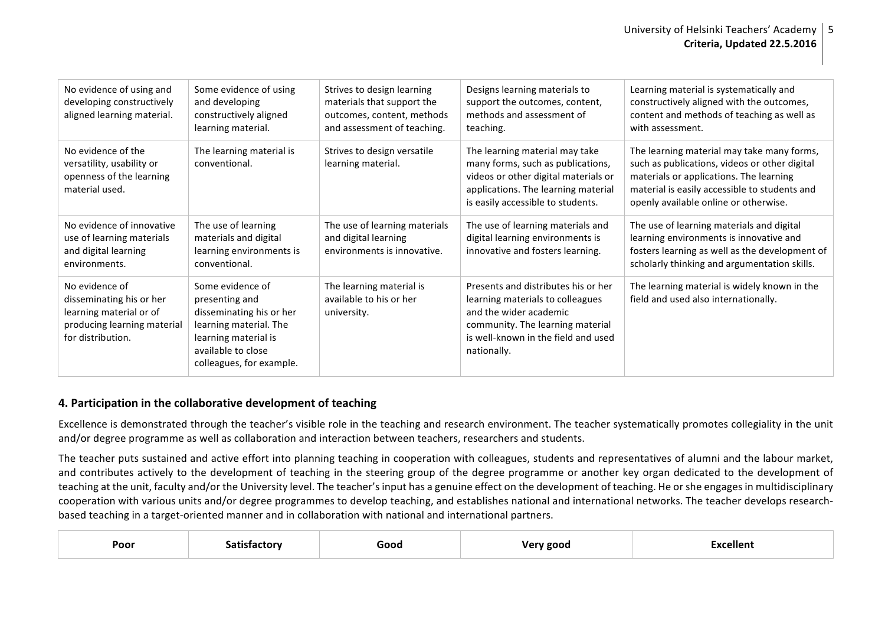| No evidence of using and<br>developing constructively<br>aligned learning material.                                       | Some evidence of using<br>and developing<br>constructively aligned<br>learning material.                                                                           | Strives to design learning<br>materials that support the<br>outcomes, content, methods<br>and assessment of teaching. | Designs learning materials to<br>support the outcomes, content,<br>methods and assessment of<br>teaching.                                                                                   | Learning material is systematically and<br>constructively aligned with the outcomes,<br>content and methods of teaching as well as<br>with assessment.                                                                           |
|---------------------------------------------------------------------------------------------------------------------------|--------------------------------------------------------------------------------------------------------------------------------------------------------------------|-----------------------------------------------------------------------------------------------------------------------|---------------------------------------------------------------------------------------------------------------------------------------------------------------------------------------------|----------------------------------------------------------------------------------------------------------------------------------------------------------------------------------------------------------------------------------|
| No evidence of the<br>versatility, usability or<br>openness of the learning<br>material used.                             | The learning material is<br>conventional.                                                                                                                          | Strives to design versatile<br>learning material.                                                                     | The learning material may take<br>many forms, such as publications,<br>videos or other digital materials or<br>applications. The learning material<br>is easily accessible to students.     | The learning material may take many forms,<br>such as publications, videos or other digital<br>materials or applications. The learning<br>material is easily accessible to students and<br>openly available online or otherwise. |
| No evidence of innovative<br>use of learning materials<br>and digital learning<br>environments.                           | The use of learning<br>materials and digital<br>learning environments is<br>conventional.                                                                          | The use of learning materials<br>and digital learning<br>environments is innovative.                                  | The use of learning materials and<br>digital learning environments is<br>innovative and fosters learning.                                                                                   | The use of learning materials and digital<br>learning environments is innovative and<br>fosters learning as well as the development of<br>scholarly thinking and argumentation skills.                                           |
| No evidence of<br>disseminating his or her<br>learning material or of<br>producing learning material<br>for distribution. | Some evidence of<br>presenting and<br>disseminating his or her<br>learning material. The<br>learning material is<br>available to close<br>colleagues, for example. | The learning material is<br>available to his or her<br>university.                                                    | Presents and distributes his or her<br>learning materials to colleagues<br>and the wider academic<br>community. The learning material<br>is well-known in the field and used<br>nationally. | The learning material is widely known in the<br>field and used also internationally.                                                                                                                                             |

#### **4. Participation in the collaborative development of teaching**

Excellence is demonstrated through the teacher's visible role in the teaching and research environment. The teacher systematically promotes collegiality in the unit and/or degree programme as well as collaboration and interaction between teachers, researchers and students.

The teacher puts sustained and active effort into planning teaching in cooperation with colleagues, students and representatives of alumni and the labour market, and contributes actively to the development of teaching in the steering group of the degree programme or another key organ dedicated to the development of teaching at the unit, faculty and/or the University level. The teacher's input has a genuine effect on the development of teaching. He or she engages in multidisciplinary cooperation with various units and/or degree programmes to develop teaching, and establishes national and international networks. The teacher develops researchbased teaching in a target-oriented manner and in collaboration with national and international partners.

| Poor | тог | Good | ဥပေပ | . .<br>าellenเ<br>T |  |
|------|-----|------|------|---------------------|--|
|------|-----|------|------|---------------------|--|